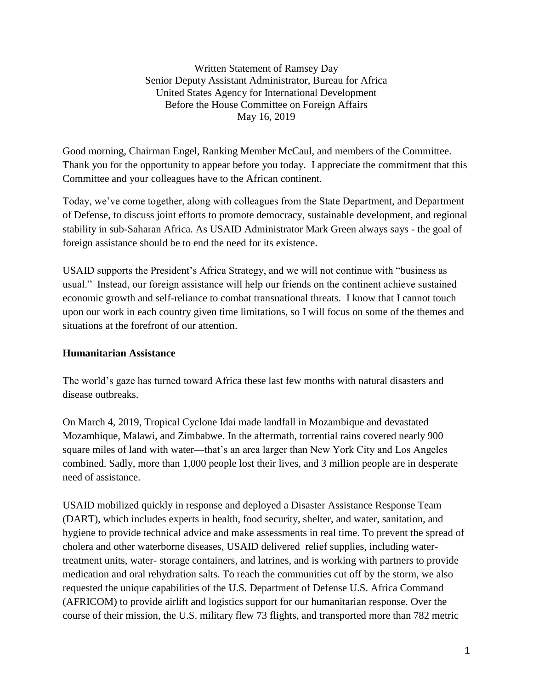Written Statement of Ramsey Day Senior Deputy Assistant Administrator, Bureau for Africa United States Agency for International Development Before the House Committee on Foreign Affairs May 16, 2019

Good morning, Chairman Engel, Ranking Member McCaul, and members of the Committee. Thank you for the opportunity to appear before you today. I appreciate the commitment that this Committee and your colleagues have to the African continent.

Today, we've come together, along with colleagues from the State Department, and Department of Defense, to discuss joint efforts to promote democracy, sustainable development, and regional stability in sub-Saharan Africa. As USAID Administrator Mark Green always says - the goal of foreign assistance should be to end the need for its existence.

USAID supports the President's Africa Strategy, and we will not continue with "business as usual." Instead, our foreign assistance will help our friends on the continent achieve sustained economic growth and self-reliance to combat transnational threats. I know that I cannot touch upon our work in each country given time limitations, so I will focus on some of the themes and situations at the forefront of our attention.

# **Humanitarian Assistance**

The world's gaze has turned toward Africa these last few months with natural disasters and disease outbreaks.

On March 4, 2019, Tropical Cyclone Idai made landfall in Mozambique and devastated Mozambique, Malawi, and Zimbabwe. In the aftermath, torrential rains covered nearly 900 square miles of land with water—that's an area larger than New York City and Los Angeles combined. Sadly, more than 1,000 people lost their lives, and 3 million people are in desperate need of assistance.

USAID mobilized quickly in response and deployed a Disaster Assistance Response Team (DART), which includes experts in health, food security, shelter, and water, sanitation, and hygiene to provide technical advice and make assessments in real time. To prevent the spread of cholera and other waterborne diseases, USAID delivered relief supplies, including watertreatment units, water- storage containers, and latrines, and is working with partners to provide medication and oral rehydration salts. To reach the communities cut off by the storm, we also requested the unique capabilities of the U.S. Department of Defense U.S. Africa Command (AFRICOM) to provide airlift and logistics support for our humanitarian response. Over the course of their mission, the U.S. military flew 73 flights, and transported more than 782 metric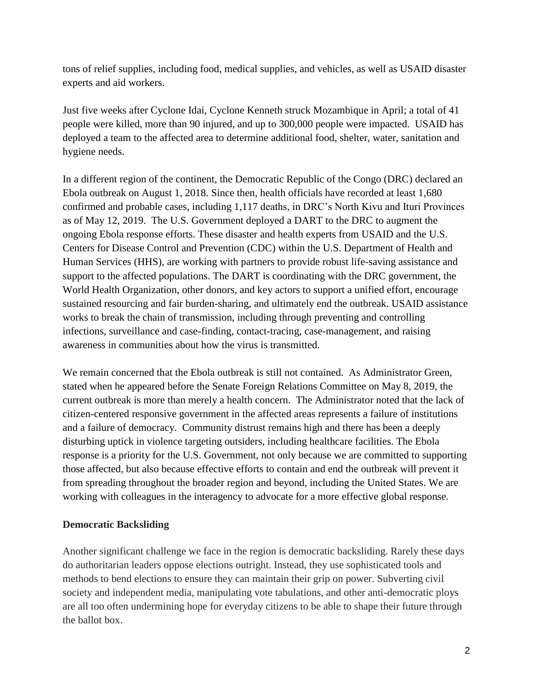tons of relief supplies, including food, medical supplies, and vehicles, as well as USAID disaster experts and aid workers.

Just five weeks after Cyclone Idai, Cyclone Kenneth struck Mozambique in April; a total of 41 people were killed, more than 90 injured, and up to 300,000 people were impacted. USAID has deployed a team to the affected area to determine additional food, shelter, water, sanitation and hygiene needs.

In a different region of the continent, the Democratic Republic of the Congo (DRC) declared an Ebola outbreak on August 1, 2018. Since then, health officials have recorded at least 1,680 confirmed and probable cases, including 1,117 deaths, in DRC's North Kivu and Ituri Provinces as of May 12, 2019. The U.S. Government deployed a DART to the DRC to augment the ongoing Ebola response efforts. These disaster and health experts from USAID and the U.S. Centers for Disease Control and Prevention (CDC) within the U.S. Department of Health and Human Services (HHS), are working with partners to provide robust life-saving assistance and support to the affected populations. The DART is coordinating with the DRC government, the World Health Organization, other donors, and key actors to support a unified effort, encourage sustained resourcing and fair burden-sharing, and ultimately end the outbreak. USAID assistance works to break the chain of transmission, including through preventing and controlling infections, surveillance and case-finding, contact-tracing, case-management, and raising awareness in communities about how the virus is transmitted.

We remain concerned that the Ebola outbreak is still not contained. As Administrator Green, stated when he appeared before the Senate Foreign Relations Committee on May 8, 2019, the current outbreak is more than merely a health concern. The Administrator noted that the lack of citizen-centered responsive government in the affected areas represents a failure of institutions and a failure of democracy. Community distrust remains high and there has been a deeply disturbing uptick in violence targeting outsiders, including healthcare facilities. The Ebola response is a priority for the U.S. Government, not only because we are committed to supporting those affected, but also because effective efforts to contain and end the outbreak will prevent it from spreading throughout the broader region and beyond, including the United States. We are working with colleagues in the interagency to advocate for a more effective global response.

# **Democratic Backsliding**

Another significant challenge we face in the region is democratic backsliding. Rarely these days do authoritarian leaders oppose elections outright. Instead, they use sophisticated tools and methods to bend elections to ensure they can maintain their grip on power. Subverting civil society and independent media, manipulating vote tabulations, and other anti-democratic ploys are all too often undermining hope for everyday citizens to be able to shape their future through the ballot box.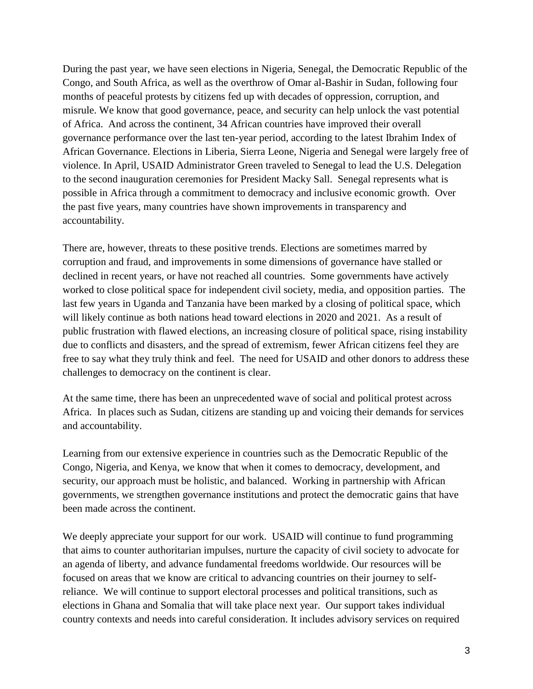During the past year, we have seen elections in Nigeria, Senegal, the Democratic Republic of the Congo, and South Africa, as well as the overthrow of Omar al-Bashir in Sudan, following four months of peaceful protests by citizens fed up with decades of oppression, corruption, and misrule. We know that good governance, peace, and security can help unlock the vast potential of Africa. And across the continent, 34 African countries have improved their overall governance performance over the last ten-year period, according to the latest Ibrahim Index of African Governance. Elections in Liberia, Sierra Leone, Nigeria and Senegal were largely free of violence. In April, USAID Administrator Green traveled to Senegal to lead the U.S. Delegation to the second inauguration ceremonies for President Macky Sall. Senegal represents what is possible in Africa through a commitment to democracy and inclusive economic growth. Over the past five years, many countries have shown improvements in transparency and accountability.

There are, however, threats to these positive trends. Elections are sometimes marred by corruption and fraud, and improvements in some dimensions of governance have stalled or declined in recent years, or have not reached all countries. Some governments have actively worked to close political space for independent civil society, media, and opposition parties. The last few years in Uganda and Tanzania have been marked by a closing of political space, which will likely continue as both nations head toward elections in 2020 and 2021. As a result of public frustration with flawed elections, an increasing closure of political space, rising instability due to conflicts and disasters, and the spread of extremism, fewer African citizens feel they are free to say what they truly think and feel. The need for USAID and other donors to address these challenges to democracy on the continent is clear.

At the same time, there has been an unprecedented wave of social and political protest across Africa. In places such as Sudan, citizens are standing up and voicing their demands for services and accountability.

Learning from our extensive experience in countries such as the Democratic Republic of the Congo, Nigeria, and Kenya, we know that when it comes to democracy, development, and security, our approach must be holistic, and balanced. Working in partnership with African governments, we strengthen governance institutions and protect the democratic gains that have been made across the continent.

We deeply appreciate your support for our work. USAID will continue to fund programming that aims to counter authoritarian impulses, nurture the capacity of civil society to advocate for an agenda of liberty, and advance fundamental freedoms worldwide. Our resources will be focused on areas that we know are critical to advancing countries on their journey to selfreliance. We will continue to support electoral processes and political transitions, such as elections in Ghana and Somalia that will take place next year. Our support takes individual country contexts and needs into careful consideration. It includes advisory services on required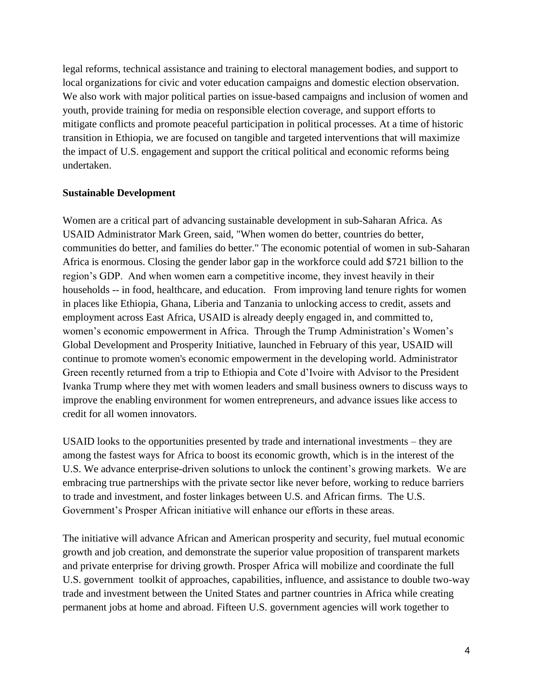legal reforms, technical assistance and training to electoral management bodies, and support to local organizations for civic and voter education campaigns and domestic election observation. We also work with major political parties on issue-based campaigns and inclusion of women and youth, provide training for media on responsible election coverage, and support efforts to mitigate conflicts and promote peaceful participation in political processes. At a time of historic transition in Ethiopia, we are focused on tangible and targeted interventions that will maximize the impact of U.S. engagement and support the critical political and economic reforms being undertaken.

### **Sustainable Development**

Women are a critical part of advancing sustainable development in sub-Saharan Africa. As USAID Administrator Mark Green, said, "When women do better, countries do better, communities do better, and families do better." The economic potential of women in sub-Saharan Africa is enormous. Closing the gender labor gap in the workforce could add \$721 billion to the region's GDP. And when women earn a competitive income, they invest heavily in their households -- in food, healthcare, and education. From improving land tenure rights for women in places like Ethiopia, Ghana, Liberia and Tanzania to unlocking access to credit, assets and employment across East Africa, USAID is already deeply engaged in, and committed to, women's economic empowerment in Africa. Through the Trump Administration's Women's Global Development and Prosperity Initiative, launched in February of this year, USAID will continue to promote women's economic empowerment in the developing world. Administrator Green recently returned from a trip to Ethiopia and Cote d'Ivoire with Advisor to the President Ivanka Trump where they met with women leaders and small business owners to discuss ways to improve the enabling environment for women entrepreneurs, and advance issues like access to credit for all women innovators.

USAID looks to the opportunities presented by trade and international investments – they are among the fastest ways for Africa to boost its economic growth, which is in the interest of the U.S. We advance enterprise-driven solutions to unlock the continent's growing markets. We are embracing true partnerships with the private sector like never before, working to reduce barriers to trade and investment, and foster linkages between U.S. and African firms. The U.S. Government's Prosper African initiative will enhance our efforts in these areas.

The initiative will advance African and American prosperity and security, fuel mutual economic growth and job creation, and demonstrate the superior value proposition of transparent markets and private enterprise for driving growth. Prosper Africa will mobilize and coordinate the full U.S. government toolkit of approaches, capabilities, influence, and assistance to double two-way trade and investment between the United States and partner countries in Africa while creating permanent jobs at home and abroad. Fifteen U.S. government agencies will work together to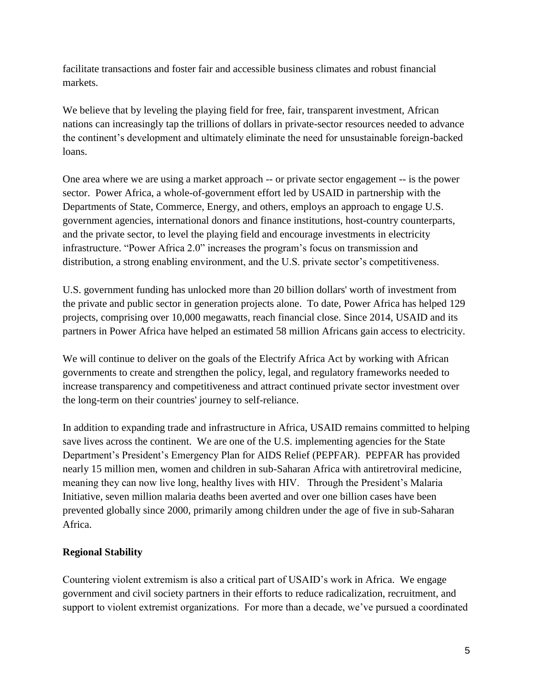facilitate transactions and foster fair and accessible business climates and robust financial markets.

We believe that by leveling the playing field for free, fair, transparent investment, African nations can increasingly tap the trillions of dollars in private-sector resources needed to advance the continent's development and ultimately eliminate the need for unsustainable foreign-backed loans.

One area where we are using a market approach -- or private sector engagement -- is the power sector. Power Africa, a whole-of-government effort led by USAID in partnership with the Departments of State, Commerce, Energy, and others, employs an approach to engage U.S. government agencies, international donors and finance institutions, host-country counterparts, and the private sector, to level the playing field and encourage investments in electricity infrastructure. "Power Africa 2.0" increases the program's focus on transmission and distribution, a strong enabling environment, and the U.S. private sector's competitiveness.

U.S. government funding has unlocked more than 20 billion dollars' worth of investment from the private and public sector in generation projects alone. To date, Power Africa has helped 129 projects, comprising over 10,000 megawatts, reach financial close. Since 2014, USAID and its partners in Power Africa have helped an estimated 58 million Africans gain access to electricity.

We will continue to deliver on the goals of the Electrify Africa Act by working with African governments to create and strengthen the policy, legal, and regulatory frameworks needed to increase transparency and competitiveness and attract continued private sector investment over the long-term on their countries' journey to self-reliance.

In addition to expanding trade and infrastructure in Africa, USAID remains committed to helping save lives across the continent. We are one of the U.S. implementing agencies for the State Department's President's Emergency Plan for AIDS Relief (PEPFAR). PEPFAR has provided nearly 15 million men, women and children in sub-Saharan Africa with antiretroviral medicine, meaning they can now live long, healthy lives with HIV. Through the President's Malaria Initiative, seven million malaria deaths been averted and over one billion cases have been prevented globally since 2000, primarily among children under the age of five in sub-Saharan Africa.

# **Regional Stability**

Countering violent extremism is also a critical part of USAID's work in Africa. We engage government and civil society partners in their efforts to reduce radicalization, recruitment, and support to violent extremist organizations. For more than a decade, we've pursued a coordinated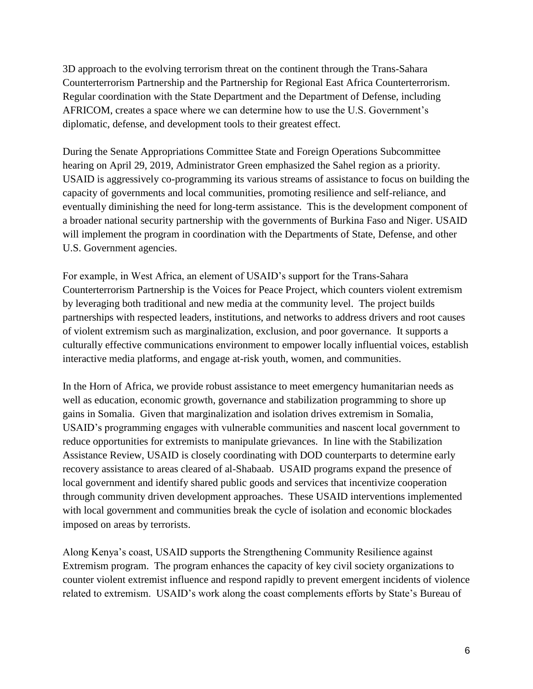3D approach to the evolving terrorism threat on the continent through the Trans-Sahara Counterterrorism Partnership and the Partnership for Regional East Africa Counterterrorism. Regular coordination with the State Department and the Department of Defense, including AFRICOM, creates a space where we can determine how to use the U.S. Government's diplomatic, defense, and development tools to their greatest effect.

During the Senate Appropriations Committee State and Foreign Operations Subcommittee hearing on April 29, 2019, Administrator Green emphasized the Sahel region as a priority. USAID is aggressively co-programming its various streams of assistance to focus on building the capacity of governments and local communities, promoting resilience and self-reliance, and eventually diminishing the need for long-term assistance. This is the development component of a broader national security partnership with the governments of Burkina Faso and Niger. USAID will implement the program in coordination with the Departments of State, Defense, and other U.S. Government agencies.

For example, in West Africa, an element of USAID's support for the Trans-Sahara Counterterrorism Partnership is the Voices for Peace Project, which counters violent extremism by leveraging both traditional and new media at the community level. The project builds partnerships with respected leaders, institutions, and networks to address drivers and root causes of violent extremism such as marginalization, exclusion, and poor governance. It supports a culturally effective communications environment to empower locally influential voices, establish interactive media platforms, and engage at-risk youth, women, and communities.

In the Horn of Africa, we provide robust assistance to meet emergency humanitarian needs as well as education, economic growth, governance and stabilization programming to shore up gains in Somalia. Given that marginalization and isolation drives extremism in Somalia, USAID's programming engages with vulnerable communities and nascent local government to reduce opportunities for extremists to manipulate grievances. In line with the Stabilization Assistance Review, USAID is closely coordinating with DOD counterparts to determine early recovery assistance to areas cleared of al-Shabaab. USAID programs expand the presence of local government and identify shared public goods and services that incentivize cooperation through community driven development approaches. These USAID interventions implemented with local government and communities break the cycle of isolation and economic blockades imposed on areas by terrorists.

Along Kenya's coast, USAID supports the Strengthening Community Resilience against Extremism program. The program enhances the capacity of key civil society organizations to counter violent extremist influence and respond rapidly to prevent emergent incidents of violence related to extremism. USAID's work along the coast complements efforts by State's Bureau of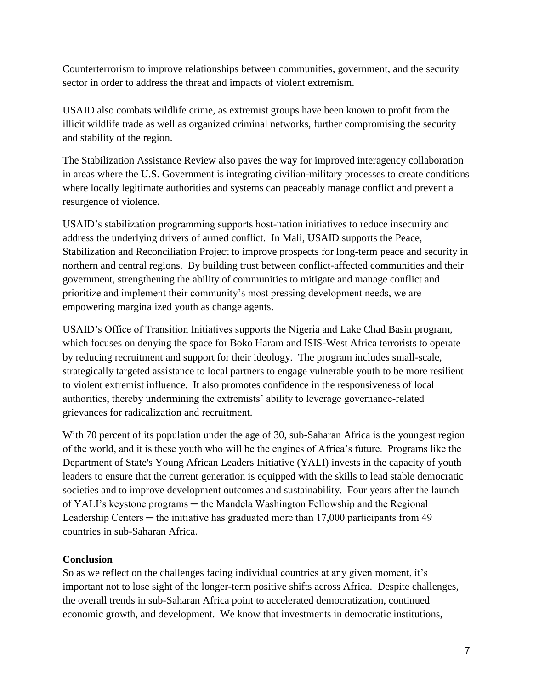Counterterrorism to improve relationships between communities, government, and the security sector in order to address the threat and impacts of violent extremism.

USAID also combats wildlife crime, as extremist groups have been known to profit from the illicit wildlife trade as well as organized criminal networks, further compromising the security and stability of the region.

The Stabilization Assistance Review also paves the way for improved interagency collaboration in areas where the U.S. Government is integrating civilian-military processes to create conditions where locally legitimate authorities and systems can peaceably manage conflict and prevent a resurgence of violence.

USAID's stabilization programming supports host-nation initiatives to reduce insecurity and address the underlying drivers of armed conflict. In Mali, USAID supports the Peace, Stabilization and Reconciliation Project to improve prospects for long-term peace and security in northern and central regions. By building trust between conflict-affected communities and their government, strengthening the ability of communities to mitigate and manage conflict and prioritize and implement their community's most pressing development needs, we are empowering marginalized youth as change agents.

USAID's Office of Transition Initiatives supports the Nigeria and Lake Chad Basin program, which focuses on denying the space for Boko Haram and ISIS-West Africa terrorists to operate by reducing recruitment and support for their ideology. The program includes small-scale, strategically targeted assistance to local partners to engage vulnerable youth to be more resilient to violent extremist influence. It also promotes confidence in the responsiveness of local authorities, thereby undermining the extremists' ability to leverage governance-related grievances for radicalization and recruitment.

With 70 percent of its population under the age of 30, sub-Saharan Africa is the youngest region of the world, and it is these youth who will be the engines of Africa's future. Programs like the Department of State's Young African Leaders Initiative (YALI) invests in the capacity of youth leaders to ensure that the current generation is equipped with the skills to lead stable democratic societies and to improve development outcomes and sustainability. Four years after the launch of YALI's keystone programs ─ the Mandela Washington Fellowship and the Regional Leadership Centers — the initiative has graduated more than  $17,000$  participants from  $49$ countries in sub-Saharan Africa.

# **Conclusion**

So as we reflect on the challenges facing individual countries at any given moment, it's important not to lose sight of the longer-term positive shifts across Africa. Despite challenges, the overall trends in sub-Saharan Africa point to accelerated democratization, continued economic growth, and development. We know that investments in democratic institutions,